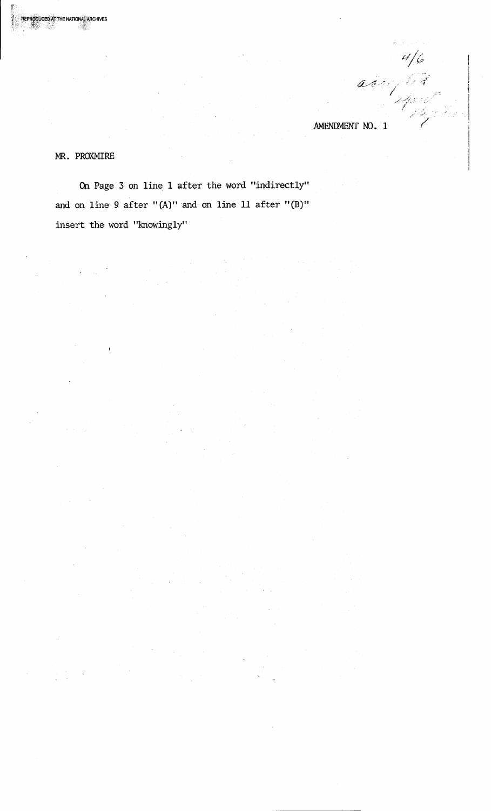accepted<br>accepted .AMENDMENT NO. 1

MR. PROXMlRE

**RODUCED AT THE NATIONAL ARCHIVES \*\***\*\*\*\*\*\*\*\*\*\*\*\*\*\*\*\*\*\*\*\*\*

> On Page 3 on line 1 after the word "indirectly" and on line 9 after " $(A)$ " and on line 11 after " $(B)$ " insert the word "knowingly"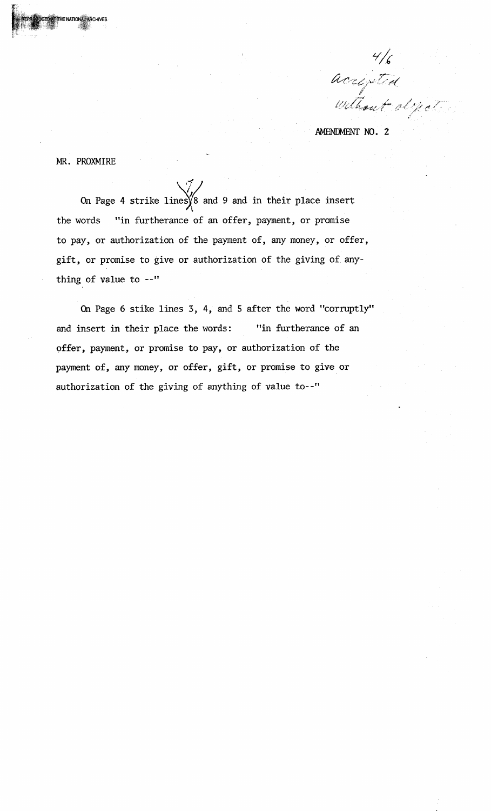4/6<br>accepted

AMENDMENT NO. 2

MR. PROXMlRE

On Page 4 strike lines  $\sqrt{8}$  and 9 and in their place insert the words "in furtherance of an offer, payment, or promise to pay, or authorization of the payment of, any money, or offer, gift, or promise to give or authorization of the giving of anything of value to --"

On Page 6 stike lines 3, 4, and 5 after the word "corruptly" and insert in their place the words: "in furtherance of an offer, payment, or promise to pay, or authorization of the payment of, any money, or offer, gift, or promise to give or authorization of the giving of anything of value to--"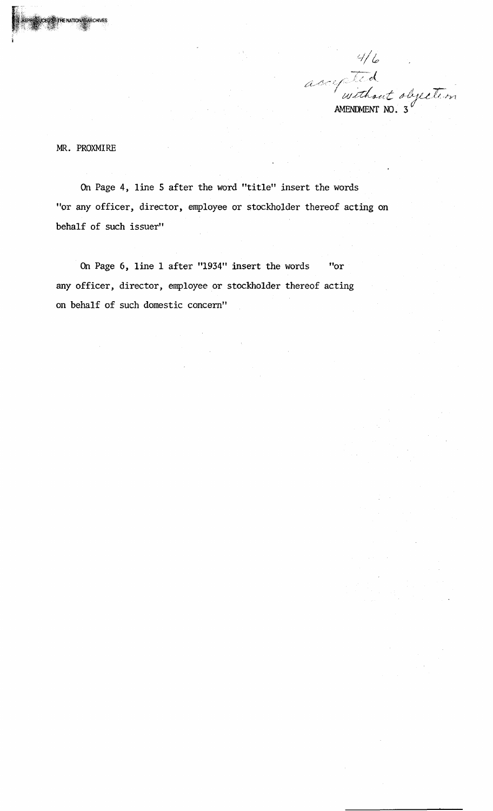$4/6$ origited objection AMENDMENT NO. 3 $^6$ 

MR. PROXMlRE

HE NATIONA

RCHIVES

On Page 4, line 5 after the word "title" insert the words "or any officer, director, employee or stockholder thereof acting on behalf of such issuer"

On Page 6, line 1 after "1934" insert the words "or any officer, director, employee or stockholder thereof acting on behalf of such domestic concern"